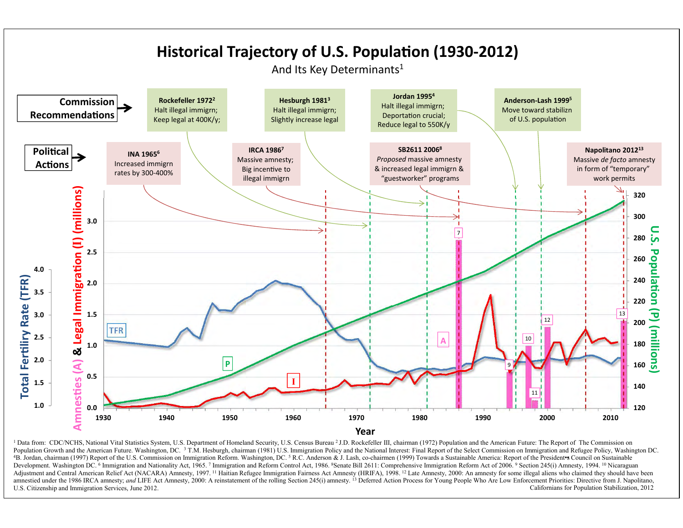

<sup>1</sup> Data from: CDC/NCHS, National Vital Statistics System, U.S. Department of Homeland Security, U.S. Census Bureau <sup>2</sup> J.D. Rockefeller III, chairman (1972) Population and the American Future: The Report of The Commission Population Growth and the American Future. Washington, DC. <sup>3</sup> T.M. Hesburgh, chairman (1981) U.S. Immigration Policy and the National Interest: Final Report of the Select Commission on Immigration and Refugee Policy, Wash 4B. Jordan, chairman (1997) Report of the U.S. Commission on Immigration Reform. Washington, DC. 5 R.C. Anderson & J. Lash, co-chairmen (1999) Towards a Sustainable America: Report of the President S Council on Sustainable Development, Washington DC. <sup>6</sup> Immigration and Nationality Act, 1965. 7 Immigration and Reform Control Act, 1986. <sup>8</sup>Senate Bill 2611: Comprehensive Immigration Reform Act of 2006. 9 Section 245(i) Amnesty, 1994. <sup>10</sup> Nic Adjustment and Central American Relief Act (NACARA) Amnesty, 1997. <sup>11</sup> Haitian Refugee Immigration Fairness Act Amnesty (HRIFA), 1998. <sup>12</sup> Late Amnesty, 2000: An amnesty for some illegal aliens who claimed they should ha amnestied under the 1986 IRCA amnesty; and LIFE Act Amnesty, 2000: A reinstatement of the rolling Section 245(i) amnesty.<sup>13</sup> Deferred Action Process for Young People Who Are Low Enforcement Priorities: Directive from J. N Californians for Population Stabilization, 2012 U.S. Citizenship and Immigration Services, June 2012.